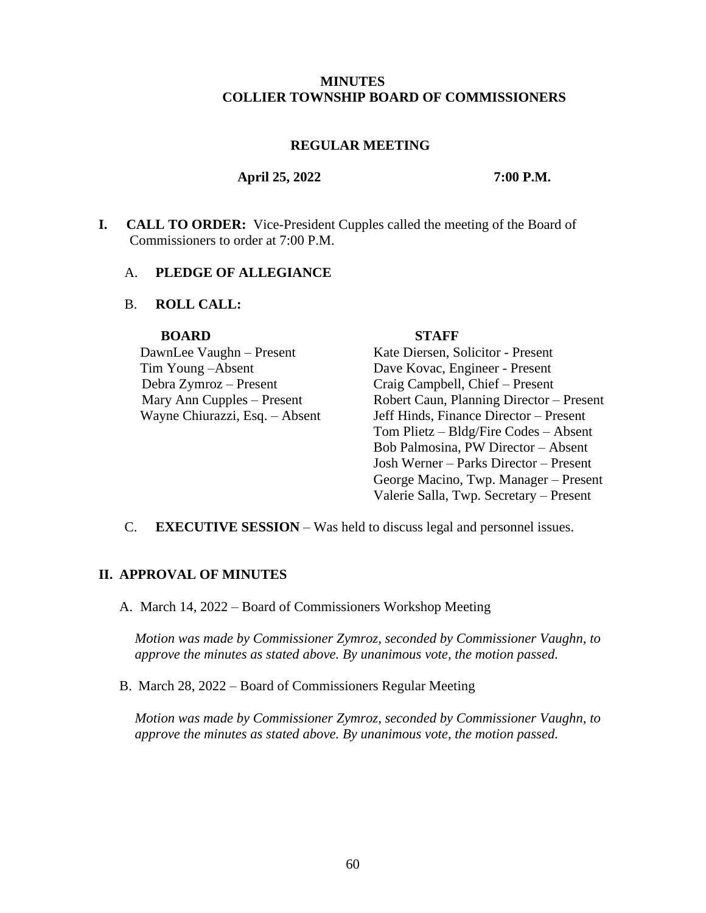#### **MINUTES COLLIER TOWNSHIP BOARD OF COMMISSIONERS**

#### **REGULAR MEETING**

#### **April 25, 2022 7:00 P.M.**

**I. CALL TO ORDER:** Vice-President Cupples called the meeting of the Board of Commissioners to order at 7:00 P.M.

#### A. **PLEDGE OF ALLEGIANCE**

### B. **ROLL CALL:**

#### **BOARD STAFF**

Tim Young –Absent Dave Kovac, Engineer - Present

DawnLee Vaughn – Present Kate Diersen, Solicitor - Present Debra Zymroz – Present Craig Campbell, Chief – Present Mary Ann Cupples – Present Robert Caun, Planning Director – Present Wayne Chiurazzi, Esq. – Absent Jeff Hinds, Finance Director – Present Tom Plietz – Bldg/Fire Codes – Absent Bob Palmosina, PW Director – Absent Josh Werner – Parks Director – Present George Macino, Twp. Manager – Present Valerie Salla, Twp. Secretary – Present

C. **EXECUTIVE SESSION** – Was held to discuss legal and personnel issues.

#### **II. APPROVAL OF MINUTES**

A. March 14, 2022 – Board of Commissioners Workshop Meeting

*Motion was made by Commissioner Zymroz, seconded by Commissioner Vaughn, to approve the minutes as stated above. By unanimous vote, the motion passed.*

B. March 28, 2022 – Board of Commissioners Regular Meeting

*Motion was made by Commissioner Zymroz, seconded by Commissioner Vaughn, to approve the minutes as stated above. By unanimous vote, the motion passed.*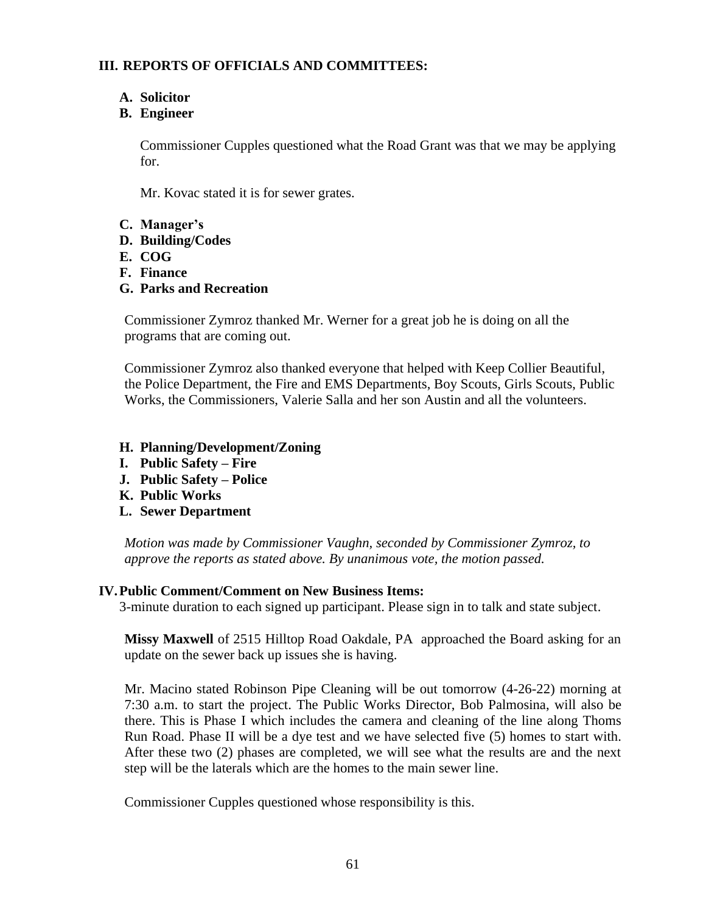# **III. REPORTS OF OFFICIALS AND COMMITTEES:**

# **A. Solicitor**

# **B. Engineer**

Commissioner Cupples questioned what the Road Grant was that we may be applying for.

Mr. Kovac stated it is for sewer grates.

## **C. Manager's**

- **D. Building/Codes**
- **E. COG**
- **F. Finance**
- **G. Parks and Recreation**

Commissioner Zymroz thanked Mr. Werner for a great job he is doing on all the programs that are coming out.

Commissioner Zymroz also thanked everyone that helped with Keep Collier Beautiful, the Police Department, the Fire and EMS Departments, Boy Scouts, Girls Scouts, Public Works, the Commissioners, Valerie Salla and her son Austin and all the volunteers.

- **H. Planning/Development/Zoning**
- **I. Public Safety – Fire**
- **J. Public Safety – Police**
- **K. Public Works**
- **L. Sewer Department**

*Motion was made by Commissioner Vaughn, seconded by Commissioner Zymroz, to approve the reports as stated above. By unanimous vote, the motion passed.*

### **IV.Public Comment/Comment on New Business Items:**

3-minute duration to each signed up participant. Please sign in to talk and state subject.

**Missy Maxwell** of 2515 Hilltop Road Oakdale, PA approached the Board asking for an update on the sewer back up issues she is having.

Mr. Macino stated Robinson Pipe Cleaning will be out tomorrow (4-26-22) morning at 7:30 a.m. to start the project. The Public Works Director, Bob Palmosina, will also be there. This is Phase I which includes the camera and cleaning of the line along Thoms Run Road. Phase II will be a dye test and we have selected five (5) homes to start with. After these two (2) phases are completed, we will see what the results are and the next step will be the laterals which are the homes to the main sewer line.

Commissioner Cupples questioned whose responsibility is this.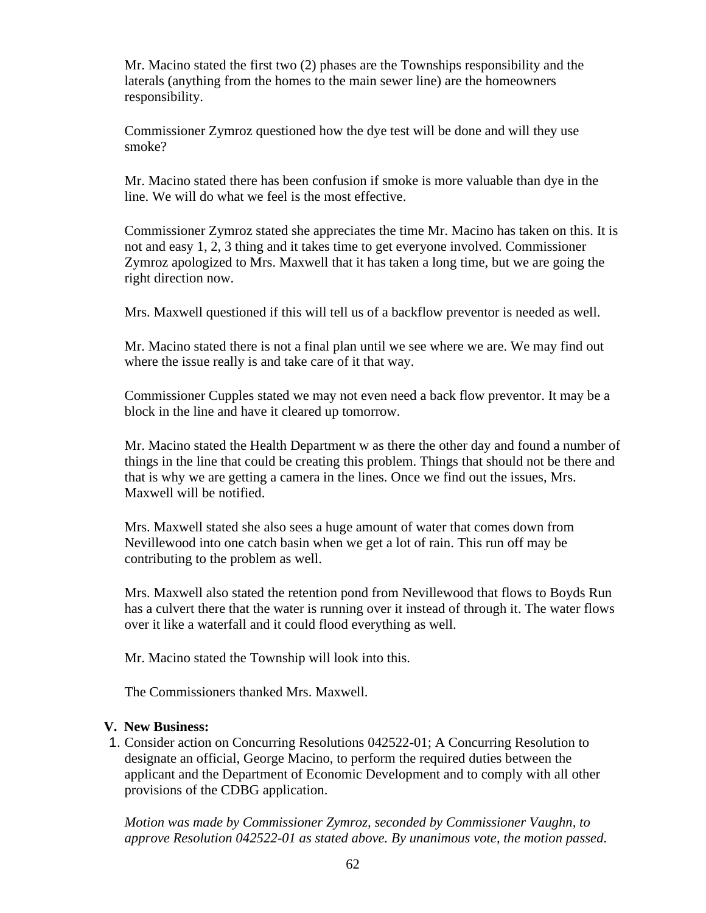Mr. Macino stated the first two (2) phases are the Townships responsibility and the laterals (anything from the homes to the main sewer line) are the homeowners responsibility.

Commissioner Zymroz questioned how the dye test will be done and will they use smoke?

Mr. Macino stated there has been confusion if smoke is more valuable than dye in the line. We will do what we feel is the most effective.

Commissioner Zymroz stated she appreciates the time Mr. Macino has taken on this. It is not and easy 1, 2, 3 thing and it takes time to get everyone involved. Commissioner Zymroz apologized to Mrs. Maxwell that it has taken a long time, but we are going the right direction now.

Mrs. Maxwell questioned if this will tell us of a backflow preventor is needed as well.

Mr. Macino stated there is not a final plan until we see where we are. We may find out where the issue really is and take care of it that way.

Commissioner Cupples stated we may not even need a back flow preventor. It may be a block in the line and have it cleared up tomorrow.

Mr. Macino stated the Health Department w as there the other day and found a number of things in the line that could be creating this problem. Things that should not be there and that is why we are getting a camera in the lines. Once we find out the issues, Mrs. Maxwell will be notified.

Mrs. Maxwell stated she also sees a huge amount of water that comes down from Nevillewood into one catch basin when we get a lot of rain. This run off may be contributing to the problem as well.

Mrs. Maxwell also stated the retention pond from Nevillewood that flows to Boyds Run has a culvert there that the water is running over it instead of through it. The water flows over it like a waterfall and it could flood everything as well.

Mr. Macino stated the Township will look into this.

The Commissioners thanked Mrs. Maxwell.

# **V. New Business:**

1. Consider action on Concurring Resolutions 042522-01; A Concurring Resolution to designate an official, George Macino, to perform the required duties between the applicant and the Department of Economic Development and to comply with all other provisions of the CDBG application.

*Motion was made by Commissioner Zymroz, seconded by Commissioner Vaughn, to approve Resolution 042522-01 as stated above. By unanimous vote, the motion passed.*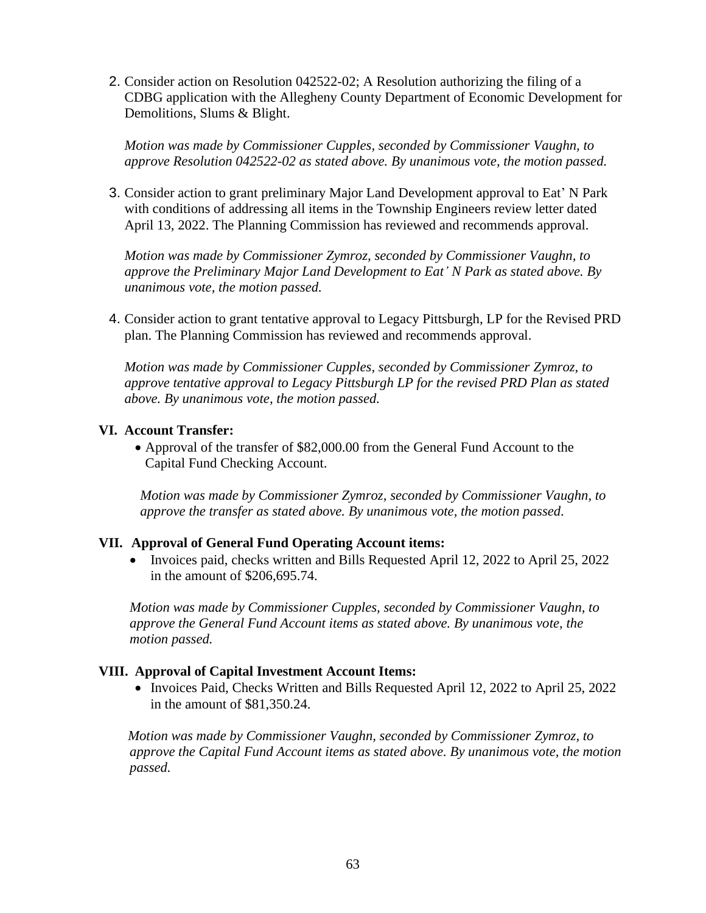2. Consider action on Resolution 042522-02; A Resolution authorizing the filing of a CDBG application with the Allegheny County Department of Economic Development for Demolitions, Slums & Blight.

*Motion was made by Commissioner Cupples, seconded by Commissioner Vaughn, to approve Resolution 042522-02 as stated above. By unanimous vote, the motion passed.* 

3. Consider action to grant preliminary Major Land Development approval to Eat' N Park with conditions of addressing all items in the Township Engineers review letter dated April 13, 2022. The Planning Commission has reviewed and recommends approval.

*Motion was made by Commissioner Zymroz, seconded by Commissioner Vaughn, to approve the Preliminary Major Land Development to Eat' N Park as stated above. By unanimous vote, the motion passed.* 

4. Consider action to grant tentative approval to Legacy Pittsburgh, LP for the Revised PRD plan. The Planning Commission has reviewed and recommends approval.

*Motion was made by Commissioner Cupples, seconded by Commissioner Zymroz, to approve tentative approval to Legacy Pittsburgh LP for the revised PRD Plan as stated above. By unanimous vote, the motion passed.* 

# **VI. Account Transfer:**

• Approval of the transfer of \$82,000.00 from the General Fund Account to the Capital Fund Checking Account.

*Motion was made by Commissioner Zymroz, seconded by Commissioner Vaughn, to approve the transfer as stated above. By unanimous vote, the motion passed.*

# **VII. Approval of General Fund Operating Account items:**

• Invoices paid, checks written and Bills Requested April 12, 2022 to April 25, 2022 in the amount of \$206,695.74.

*Motion was made by Commissioner Cupples, seconded by Commissioner Vaughn, to approve the General Fund Account items as stated above. By unanimous vote, the motion passed.*

# **VIII. Approval of Capital Investment Account Items:**

• Invoices Paid, Checks Written and Bills Requested April 12, 2022 to April 25, 2022 in the amount of \$81,350.24.

*Motion was made by Commissioner Vaughn, seconded by Commissioner Zymroz, to approve the Capital Fund Account items as stated above. By unanimous vote, the motion passed.*